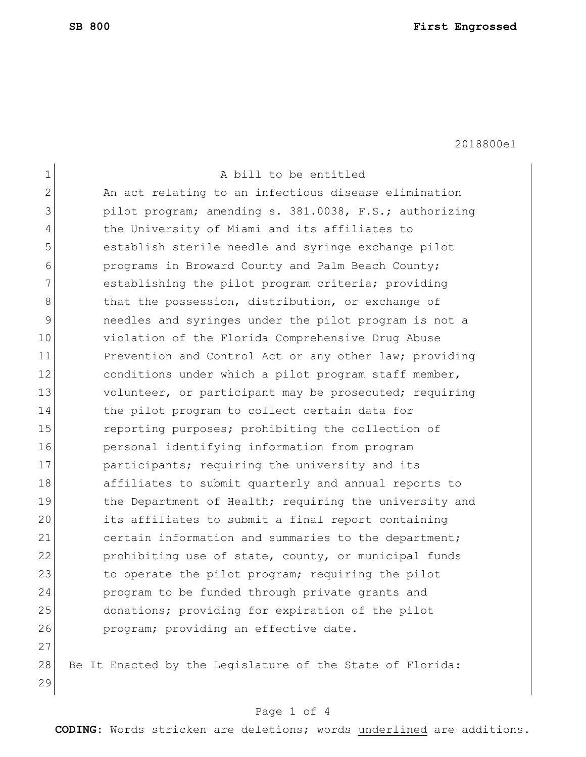| 1              | A bill to be entitled                                     |
|----------------|-----------------------------------------------------------|
| $\overline{2}$ | An act relating to an infectious disease elimination      |
| 3              | pilot program; amending s. 381.0038, F.S.; authorizing    |
| 4              | the University of Miami and its affiliates to             |
| 5              | establish sterile needle and syringe exchange pilot       |
| 6              | programs in Broward County and Palm Beach County;         |
| 7              | establishing the pilot program criteria; providing        |
| 8              | that the possession, distribution, or exchange of         |
| $\mathcal{G}$  | needles and syringes under the pilot program is not a     |
| 10             | violation of the Florida Comprehensive Drug Abuse         |
| 11             | Prevention and Control Act or any other law; providing    |
| 12             | conditions under which a pilot program staff member,      |
| 13             | volunteer, or participant may be prosecuted; requiring    |
| 14             | the pilot program to collect certain data for             |
| 15             | reporting purposes; prohibiting the collection of         |
| 16             | personal identifying information from program             |
| 17             | participants; requiring the university and its            |
| 18             | affiliates to submit quarterly and annual reports to      |
| 19             | the Department of Health; requiring the university and    |
| 20             | its affiliates to submit a final report containing        |
| 21             | certain information and summaries to the department;      |
| 22             | prohibiting use of state, county, or municipal funds      |
| 23             | to operate the pilot program; requiring the pilot         |
| 24             | program to be funded through private grants and           |
| 25             | donations; providing for expiration of the pilot          |
| 26             | program; providing an effective date.                     |
| 27             |                                                           |
| 28             | Be It Enacted by the Legislature of the State of Florida: |
| 29             |                                                           |

## Page 1 of 4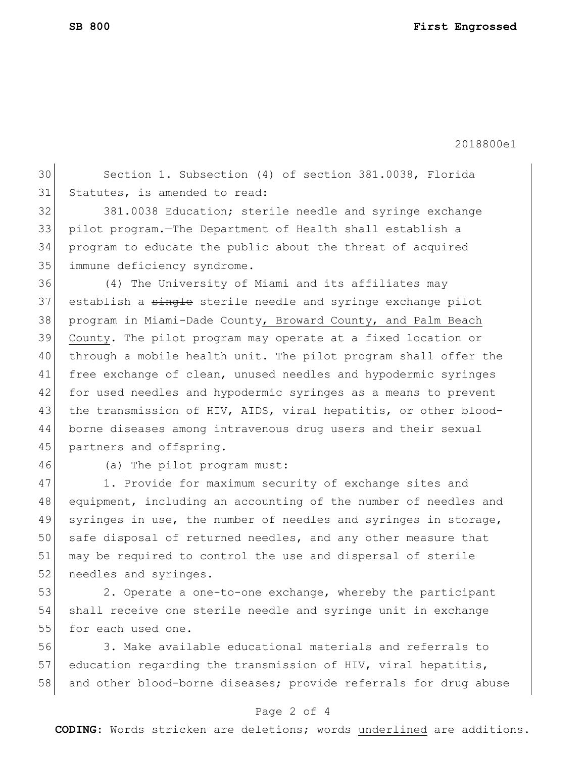30 Section 1. Subsection (4) of section 381.0038, Florida 31 Statutes, is amended to read:

 381.0038 Education; sterile needle and syringe exchange pilot program.—The Department of Health shall establish a program to educate the public about the threat of acquired 35 immune deficiency syndrome.

36 (4) The University of Miami and its affiliates may 37 establish a single sterile needle and syringe exchange pilot 38 program in Miami-Dade County, Broward County, and Palm Beach 39 County. The pilot program may operate at a fixed location or 40 through a mobile health unit. The pilot program shall offer the 41 free exchange of clean, unused needles and hypodermic syringes 42 for used needles and hypodermic syringes as a means to prevent 43 the transmission of HIV, AIDS, viral hepatitis, or other blood-44 borne diseases among intravenous drug users and their sexual 45 partners and offspring.

46 (a) The pilot program must:

47 1. Provide for maximum security of exchange sites and 48 equipment, including an accounting of the number of needles and 49 syringes in use, the number of needles and syringes in storage, 50 safe disposal of returned needles, and any other measure that 51 may be required to control the use and dispersal of sterile 52 needles and syringes.

53 2. Operate a one-to-one exchange, whereby the participant 54 shall receive one sterile needle and syringe unit in exchange 55 for each used one.

56 3. Make available educational materials and referrals to 57 education regarding the transmission of HIV, viral hepatitis, 58 and other blood-borne diseases; provide referrals for drug abuse

## Page 2 of 4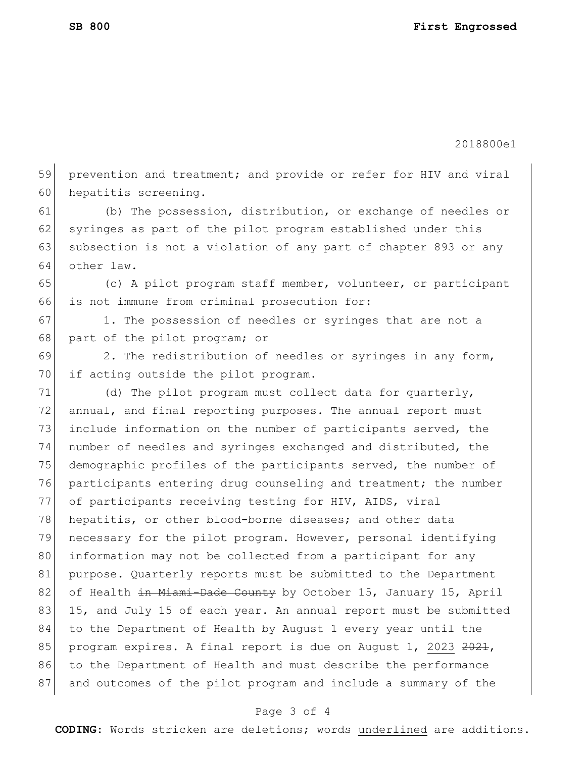59 prevention and treatment; and provide or refer for HIV and viral 60 hepatitis screening.

61 (b) The possession, distribution, or exchange of needles or 62 syringes as part of the pilot program established under this 63 subsection is not a violation of any part of chapter 893 or any 64 other law.

65 (c) A pilot program staff member, volunteer, or participant 66 is not immune from criminal prosecution for:

67 1. The possession of needles or syringes that are not a 68 part of the pilot program; or

69 2. The redistribution of needles or syringes in any form, 70 if acting outside the pilot program.

71 (d) The pilot program must collect data for quarterly, 72 annual, and final reporting purposes. The annual report must 73 include information on the number of participants served, the 74 number of needles and syringes exchanged and distributed, the 75 demographic profiles of the participants served, the number of 76 participants entering drug counseling and treatment; the number 77 of participants receiving testing for HIV, AIDS, viral 78 hepatitis, or other blood-borne diseases; and other data 79 necessary for the pilot program. However, personal identifying 80 information may not be collected from a participant for any 81 purpose. Quarterly reports must be submitted to the Department 82 of Health in Miami-Dade County by October 15, January 15, April 83 15, and July 15 of each year. An annual report must be submitted 84 to the Department of Health by August 1 every year until the 85 program expires. A final report is due on August 1, 2023  $2021$ , 86 to the Department of Health and must describe the performance 87 and outcomes of the pilot program and include a summary of the

## Page 3 of 4